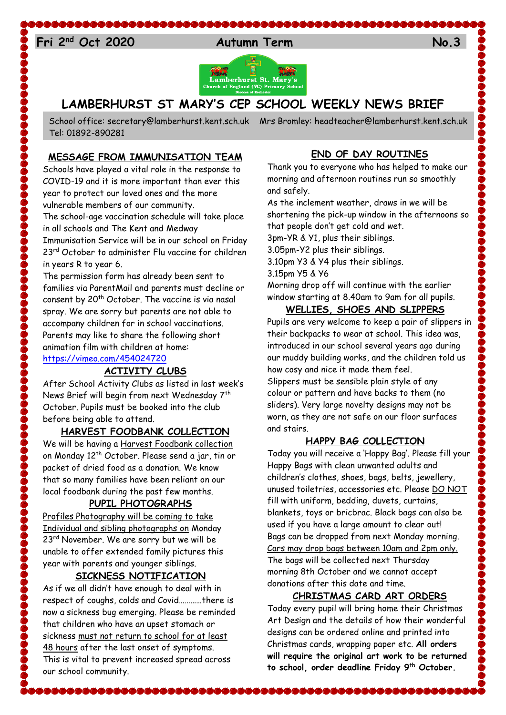# 24 **Fri 2nd Oct 2020 Autumn Term No.3**



## **LAMBERHURST ST MARY'S CEP SCHOOL WEEKLY NEWS BRIEF**

School office: [secretary@lamberhurst.kent.sch.uk](mailto:secretary@lamberhurst.kent.sch.uk) Mrs Bromley: headteacher@lamberhurst.kent.sch.uk Tel: 01892-890281

\$&&&&&&&&&&&

### **MESSAGE FROM IMMUNISATION TEAM**

Schools have played a vital role in the response to COVID-19 and it is more important than ever this year to protect our loved ones and the more vulnerable members of our community. The school-age vaccination schedule will take place in all schools and The Kent and Medway

Immunisation Service will be in our school on Friday 23<sup>rd</sup> October to administer Flu vaccine for children in years R to year 6.

The permission form has already been sent to families via ParentMail and parents must decline or consent by 20<sup>th</sup> October. The vaccine is via nasal spray. We are sorry but parents are not able to accompany children for in school vaccinations. Parents may like to share the following short animation film with children at home: <https://vimeo.com/454024720>

## **ACTIVITY CLUBS**

After School Activity Clubs as listed in last week's News Brief will begin from next Wednesday 7<sup>th</sup> October. Pupils must be booked into the club before being able to attend.

#### **HARVEST FOODBANK COLLECTION**

We will be having a Harvest Foodbank collection on Monday 12<sup>th</sup> October. Please send a jar, tin or packet of dried food as a donation. We know that so many families have been reliant on our local foodbank during the past few months.

#### **PUPIL PHOTOGRAPHS**

Profiles Photography will be coming to take Individual and sibling photographs on Monday 23<sup>rd</sup> November. We are sorry but we will be unable to offer extended family pictures this year with parents and younger siblings.

### **SICKNESS NOTIFICATION**

As if we all didn't have enough to deal with in respect of coughs, colds and Covid…………there is now a sickness bug emerging. Please be reminded that children who have an upset stomach or sickness must not return to school for at least 48 hours after the last onset of symptoms. This is vital to prevent increased spread across our school community.

\$&&&&&&&&&&&&&&&&&&&&&&&&&

## **END OF DAY ROUTINES**

Thank you to everyone who has helped to make our morning and afternoon routines run so smoothly and safely.

As the inclement weather, draws in we will be shortening the pick-up window in the afternoons so that people don't get cold and wet.

3pm-YR & Y1, plus their siblings.

3.05pm-Y2 plus their siblings.

3.10pm Y3 & Y4 plus their siblings.

3.15pm Y5 & Y6

Morning drop off will continue with the earlier window starting at 8.40am to 9am for all pupils.

## **WELLIES, SHOES AND SLIPPERS**

Pupils are very welcome to keep a pair of slippers in their backpacks to wear at school. This idea was, introduced in our school several years ago during our muddy building works, and the children told us how cosy and nice it made them feel. Slippers must be sensible plain style of any colour or pattern and have backs to them (no sliders). Very large novelty designs may not be worn, as they are not safe on our floor surfaces and stairs.

#### **HAPPY BAG COLLECTION**

Today you will receive a 'Happy Bag'. Please fill your Happy Bags with clean unwanted adults and children's clothes, shoes, bags, belts, jewellery, unused toiletries, accessories etc. Please DO NOT fill with uniform, bedding, duvets, curtains, blankets, toys or bricbrac. Black bags can also be used if you have a large amount to clear out! Bags can be dropped from next Monday morning. Cars may drop bags between 10am and 2pm only. The bags will be collected next Thursday morning 8th October and we cannot accept donations after this date and time.

#### **CHRISTMAS CARD ART ORDERS**

Today every pupil will bring home their Christmas Art Design and the details of how their wonderful designs can be ordered online and printed into Christmas cards, wrapping paper etc. **All orders will require the original art work to be returned to school, order deadline Friday 9th October.**

\&&&&&&&&&&&&&&&&